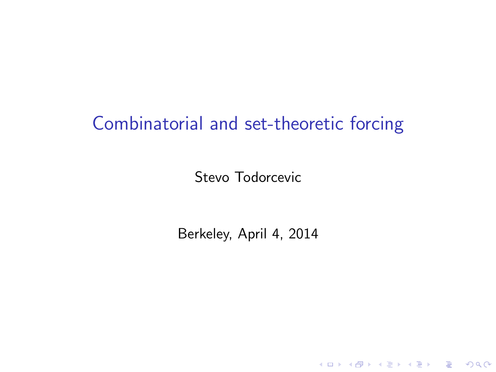# Combinatorial and set-theoretic forcing

Stevo Todorcevic

<span id="page-0-0"></span>Berkeley, April 4, 2014

K ロ K K (P) K (E) K (E) X (E) X (P) K (P)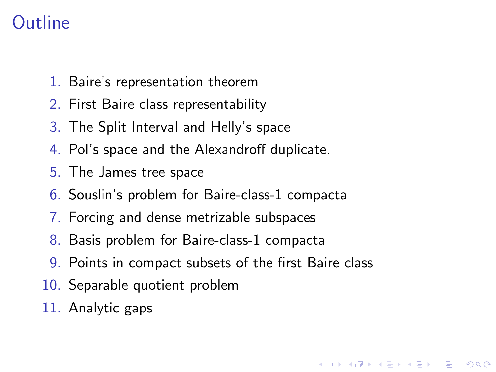# Outline

- 1. Baire's representation theorem
- 2. First Baire class representability
- 3. The Split Interval and Helly's space
- 4. Pol's space and the Alexandroff duplicate.
- 5. The James tree space
- 6. Souslin's problem for Baire-class-1 compacta
- 7. Forcing and dense metrizable subspaces
- 8. Basis problem for Baire-class-1 compacta
- 9. Points in compact subsets of the first Baire class

**KORK ERKER ADE YOUR** 

- 10. Separable quotient problem
- 11. Analytic gaps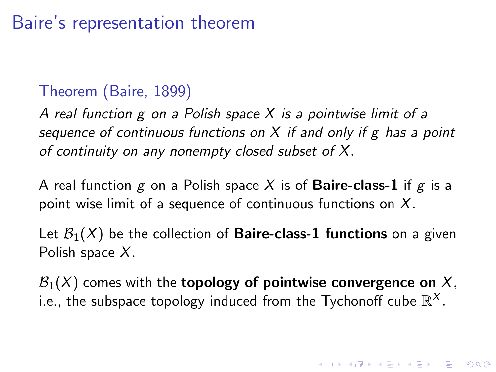# Baire's representation theorem

#### Theorem (Baire, 1899)

A real function  $g$  on a Polish space  $X$  is a pointwise limit of a sequence of continuous functions on  $X$  if and only if g has a point of continuity on any nonempty closed subset of X.

A real function g on a Polish space X is of **Baire-class-1** if g is a point wise limit of a sequence of continuous functions on  $X$ .

Let  $\mathcal{B}_1(X)$  be the collection of **Baire-class-1 functions** on a given Polish space  $X$ .

 $\mathcal{B}_1(X)$  comes with the **topology of pointwise convergence on** X, i.e., the subspace topology induced from the Tychonoff cube  $\mathbb{R}^{\mathsf{X}}.$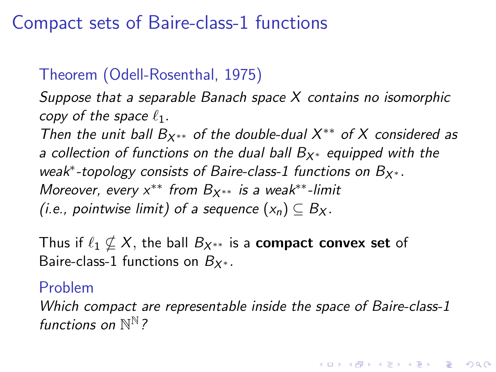# Compact sets of Baire-class-1 functions

## Theorem (Odell-Rosenthal, 1975)

Suppose that a separable Banach space X contains no isomorphic copy of the space  $\ell_1$ .

Then the unit ball  $B_{X^{**}}$  of the double-dual  $X^{**}$  of X considered as a collection of functions on the dual ball  $B_{X^*}$  equipped with the weak<sup>\*</sup>-topology consists of Baire-class-1 functions on  $B_{X^*}.$ Moreover, every  $x^{**}$  from  $B_{x^{**}}$  is a weak\*\*-limit (i.e., pointwise limit) of a sequence  $(x_n) \subset B_{X}$ .

Thus if  $\ell_1 \nsubseteq X$ , the ball  $B_{X^{**}}$  is a **compact convex set** of Baire-class-1 functions on  $B_{X^*}$ .

#### Problem

Which compact are representable inside the space of Baire-class-1 functions on  $\mathbb{N}^{\mathbb{N}}$ ?

KID KA KERKER KID KO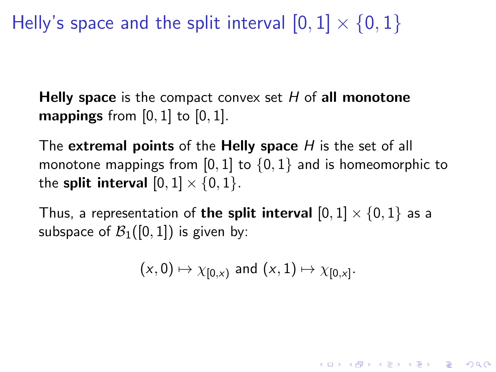Helly's space and the split interval  $[0, 1] \times \{0, 1\}$ 

Helly space is the compact convex set  $H$  of all monotone **mappings** from  $[0, 1]$  to  $[0, 1]$ .

The extremal points of the Helly space  $H$  is the set of all monotone mappings from [0, 1] to  $\{0,1\}$  and is homeomorphic to the **split interval**  $[0, 1] \times \{0, 1\}.$ 

Thus, a representation of the split interval  $[0,1] \times \{0,1\}$  as a subspace of  $\mathcal{B}_1([0,1])$  is given by:

$$
(x, 0) \mapsto \chi_{[0,x)}
$$
 and  $(x, 1) \mapsto \chi_{[0,x]}.$ 

**KORKAR KERKER EL VOLO**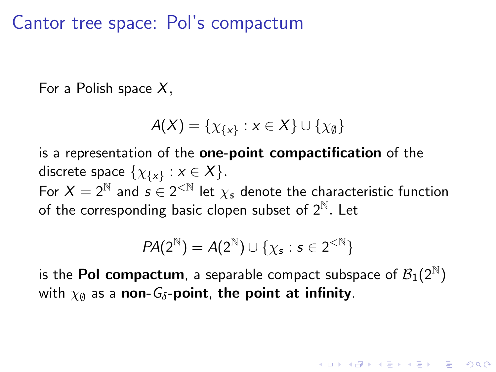## Cantor tree space: Pol's compactum

For a Polish space  $X$ ,

$$
A(X) = \{ \chi_{\{x\}} : x \in X \} \cup \{ \chi_{\emptyset} \}
$$

is a representation of the one-point compactification of the discrete space  $\{\chi_{\{\mathsf{x}\}} : \mathsf{x} \in \mathsf{X}\}.$ For  $X = 2^{\mathbb{N}}$  and  $s \in 2^{<\mathbb{N}}$  let  $\chi_s$  denote the characteristic function of the corresponding basic clopen subset of  $2^{\mathbb{N}}$ . Let

$$
\textit{PA}(2^{\mathbb{N}}) = \textit{A}(2^{\mathbb{N}}) \cup \{\chi_s: s \in 2^{<\mathbb{N}}\}
$$

is the **Pol compactum**, a separable compact subspace of  $\mathcal{B}_1(2^{\mathbb{N}})$ with  $\chi_{\emptyset}$  as a non- $G_{\delta}$ -point, the point at infinity.

**AD A 4 4 4 5 A 5 A 5 A 4 D A 4 D A 4 P A 4 5 A 4 5 A 5 A 4 A 4 A 4 A**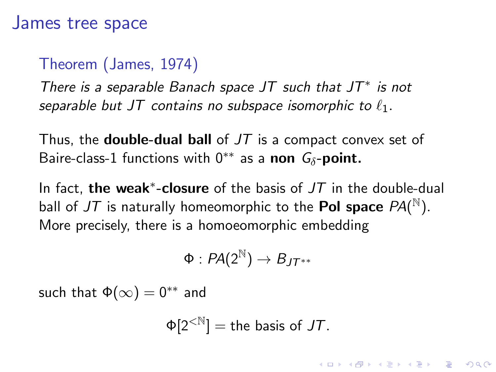#### James tree space

#### Theorem (James, 1974)

There is a separable Banach space JT such that  $JT^*$  is not separable but JT contains no subspace isomorphic to  $\ell_1$ .

Thus, the **double-dual ball** of  $JT$  is a compact convex set of Baire-class-1 functions with  $0^{**}$  as a non  $G_{\delta}$ -point.

In fact, the weak<sup>\*</sup>-closure of the basis of  $JT$  in the double-dual ball of  $J\mathcal{T}$  is naturally homeomorphic to the  $\mathsf{Pol}\textup{ space } \mathit{PA}(\tt^{\mathbb{N}}).$ More precisely, there is a homoeomorphic embedding

$$
\Phi:PA(2^{\mathbb{N}})\to B_{JT^{**}}
$$

such that  $\Phi(\infty) = 0^{**}$  and

$$
\Phi[2^{<\mathbb{N}}]=\text{the basis of }JT.
$$

**KORKAR KERKER EL VOLO**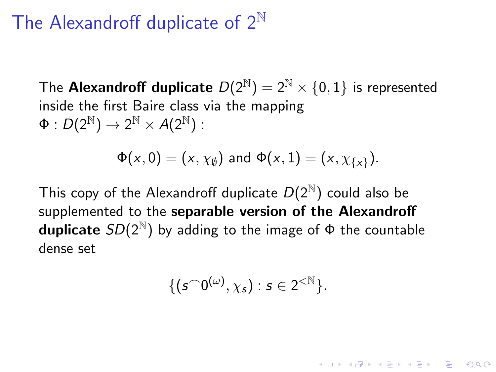## The Alexandroff duplicate of  $2^{\mathbb{N}}$

The **Alexandroff duplicate**  $D(2^{\mathbb{N}}) = 2^{\mathbb{N}} \times \{0, 1\}$  is represented inside the first Baire class via the mapping  $\Phi: D(2^{\mathbb{N}}) \to 2^{\mathbb{N}} \times A(2^{\mathbb{N}})$ :

$$
\Phi(x,0)=(x,\chi_{\emptyset}) \text{ and } \Phi(x,1)=(x,\chi_{\{x\}}).
$$

This copy of the Alexandroff duplicate  $D(2^N)$  could also be supplemented to the separable version of the Alexandroff duplicate  $SD(2^{\mathbb{N}})$  by adding to the image of  $\Phi$  the countable dense set

$$
\{(\mathfrak{s}^\frown 0^{(\omega)},\chi_\mathfrak{s}):\mathfrak{s}\in 2^{<\mathbb{N}}\}.
$$

**KORKAR KERKER EL VOLO**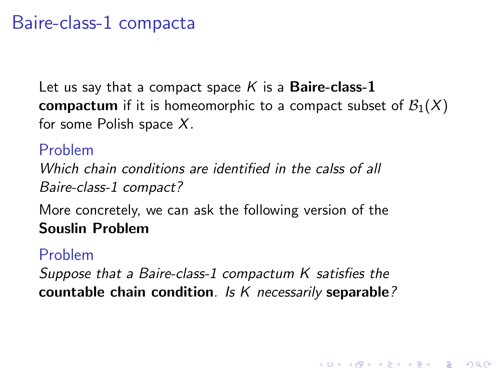## Baire-class-1 compacta

Let us say that a compact space  $K$  is a **Baire-class-1 compactum** if it is homeomorphic to a compact subset of  $\mathcal{B}_1(X)$ for some Polish space  $X$ .

Problem Which chain conditions are identified in the calss of all Baire-class-1 compact?

More concretely, we can ask the following version of the Souslin Problem

#### Problem

Suppose that a Baire-class-1 compactum K satisfies the countable chain condition. Is K necessarily separable?

**KORK ERKER ADE YOUR**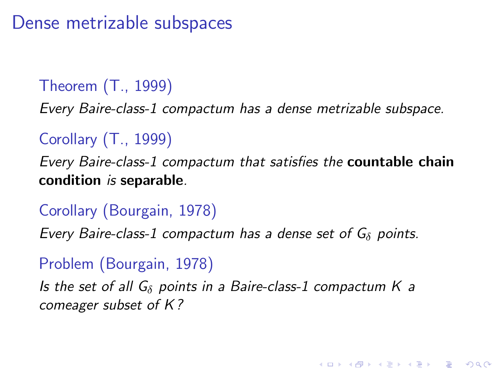Dense metrizable subspaces

#### Theorem (T., 1999)

Every Baire-class-1 compactum has a dense metrizable subspace.

#### Corollary (T., 1999)

Every Baire-class-1 compactum that satisfies the countable chain condition is separable.

#### Corollary (Bourgain, 1978)

Every Baire-class-1 compactum has a dense set of  $G_{\delta}$  points.

#### Problem (Bourgain, 1978)

Is the set of all  $G_{\delta}$  points in a Baire-class-1 compactum K a comeager subset of K ?

**K ロ ▶ K @ ▶ K 할 X X 할 X → 할 X → 9 Q Q ^**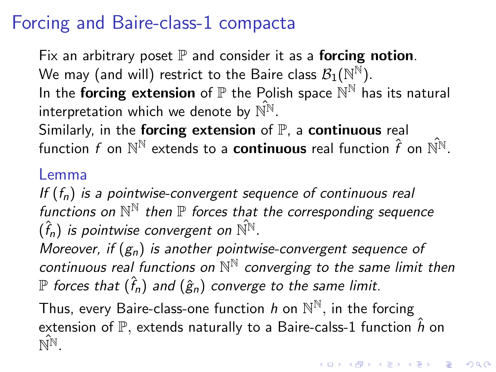# Forcing and Baire-class-1 compacta

Fix an arbitrary poset  $\mathbb P$  and consider it as a **forcing notion**. We may (and will) restrict to the Baire class  $\mathcal{B}_1(\mathbb{N}^\mathbb{N}).$ In the forcing extension of  $\mathbb P$  the Polish space  $\mathbb N^{\mathbb N}$  has its natural interpretation which we denote by  $\hat{N}^N$ . Similarly, in the **forcing extension** of  $P$ , a **continuous** real function f on  $\mathbb{N}^{\mathbb{N}}$  extends to a **continuous** real function  $\hat{f}$  on  $\hat{\mathbb{N}}^{\mathbb{N}}$ .

#### Lemma

If  $(f_n)$  is a pointwise-convergent sequence of continuous real functions on  $\mathbb{N}^{\mathbb{N}}$  then  $\mathbb P$  forces that the corresponding sequence  $(\hat{f}_{n})$  is pointwise convergent on  $\hat{\mathbb{N}^{\mathbb{N}}}.$ 

Moreover, if  $(g_n)$  is another pointwise-convergent sequence of continuous real functions on  $\mathbb{N}^{\mathbb{N}}$  converging to the same limit then  ${\mathbb P}$  forces that  $(\hat{f}_n)$  and  $(\hat{g}_n)$  converge to the same limit.

Thus, every Baire-class-one function  $h$  on  $\mathbb{N}^\mathbb{N},$  in the forcing extension of  $\mathbb{P}$ , extends naturally to a Baire-calss-1 function  $\hat{h}$  on  $\hat{\mathbb{N}^{\mathbb{N}}}$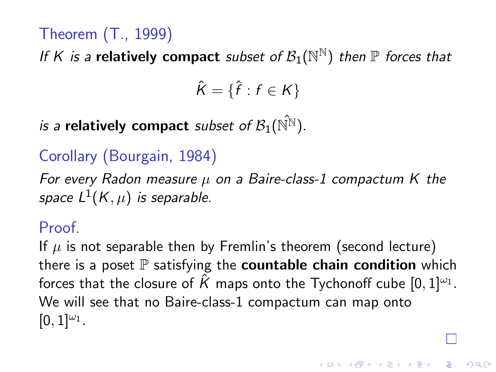## Theorem (T., 1999)

If K is a relatively compact subset of  $\mathcal{B}_1(\mathbb{N}^\mathbb{N})$  then  $\mathbb P$  forces that

$$
\hat{K} = \{\hat{f} : f \in K\}
$$

is a relatively compact subset of  $\mathcal{B}_1(\hat{\mathbb{N}}^{\mathbb{N}})$ .

## Corollary (Bourgain, 1984)

For every Radon measure  $\mu$  on a Baire-class-1 compactum K the space  $L^1(K,\mu)$  is separable.

#### Proof.

If  $\mu$  is not separable then by Fremlin's theorem (second lecture) there is a poset  $\mathbb P$  satisfying the **countable chain condition** which forces that the closure of  $\hat{\mathcal{K}}$  maps onto the Tychonoff cube  $[0,1]^{ \omega_1}.$ We will see that no Baire-class-1 compactum can map onto  $[0, 1]^{\omega_1}.$ 

**AD A 4 4 4 5 A 5 A 5 A 4 D A 4 D A 4 P A 4 5 A 4 5 A 5 A 4 A 4 A 4 A**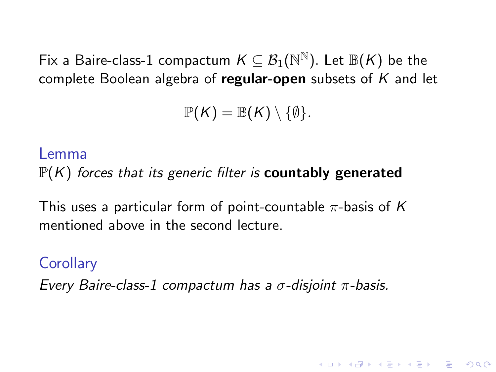Fix a Baire-class-1 compactum  $K\subseteq \mathcal{B}_1(\mathbb{N}^\mathbb{N}).$  Let  $\mathbb{B} (K)$  be the complete Boolean algebra of regular-open subsets of  $K$  and let

$$
\mathbb{P}(\mathsf{K})=\mathbb{B}(\mathsf{K})\setminus\{\emptyset\}.
$$

#### Lemma

 $\mathbb{P}(K)$  forces that its generic filter is **countably generated** 

This uses a particular form of point-countable  $\pi$ -basis of K mentioned above in the second lecture.

#### **Corollary**

Every Baire-class-1 compactum has a σ-disjoint π-basis.

**KORK ERKER ADE YOUR**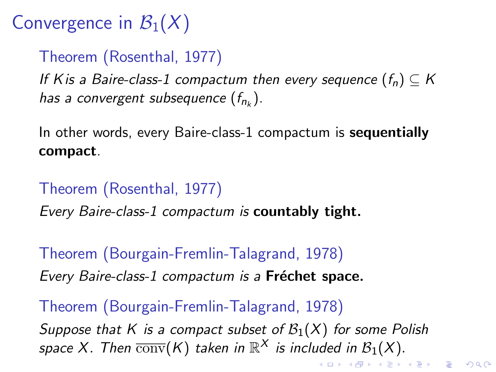# Convergence in  $\mathcal{B}_1(X)$

## Theorem (Rosenthal, 1977)

If K is a Baire-class-1 compactum then every sequence  $(f_n) \subseteq K$ has a convergent subsequence  $(f_{n_k})$ .

In other words, every Baire-class-1 compactum is **sequentially** compact.

## Theorem (Rosenthal, 1977)

Every Baire-class-1 compactum is countably tight.

Theorem (Bourgain-Fremlin-Talagrand, 1978) Every Baire-class-1 compactum is a Fréchet space.

Theorem (Bourgain-Fremlin-Talagrand, 1978) Suppose that K is a compact subset of  $\mathcal{B}_1(X)$  for some Polish space X. Then  $\overline{\mathrm{conv}}(K)$  taken in  $\mathbb{R}^X$  is included in  $\mathcal{B}_1(X).$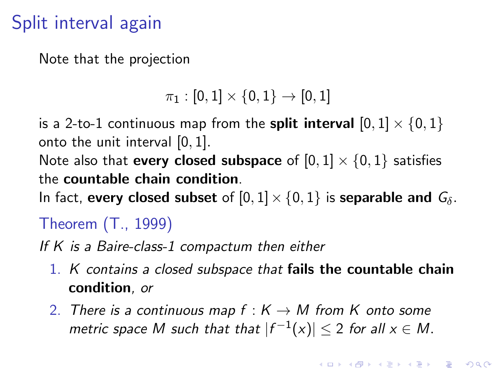# Split interval again

Note that the projection

 $\pi_1 : [0, 1] \times \{0, 1\} \rightarrow [0, 1]$ 

is a 2-to-1 continuous map from the **split interval**  $[0, 1] \times \{0, 1\}$ onto the unit interval [0, 1].

Note also that **every closed subspace** of  $[0, 1] \times \{0, 1\}$  satisfies the countable chain condition.

In fact, every closed subset of  $[0, 1] \times \{0, 1\}$  is separable and  $G_\delta$ .

Theorem (T., 1999)

If K is a Baire-class-1 compactum then either

- 1. K contains a closed subspace that fails the countable chain condition, or
- 2. There is a continuous map  $f : K \to M$  from K onto some metric space M such that that  $|f^{-1}(x)| \leq 2$  for all  $x \in M$ .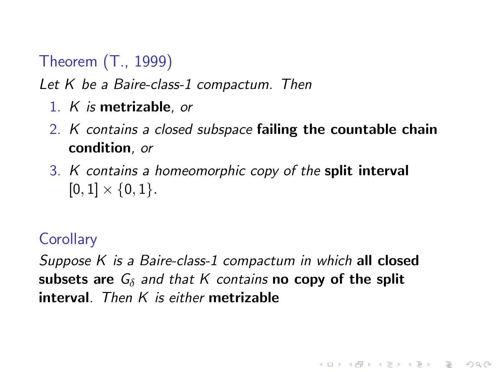## Theorem (T., 1999)

Let K be a Baire-class-1 compactum. Then

- 1. K is metrizable, or
- 2. K contains a closed subspace failing the countable chain condition, or
- 3. K contains a homeomorphic copy of the split interval  $[0, 1] \times \{0, 1\}.$

#### **Corollary**

<span id="page-15-0"></span>Suppose K is a Baire-class-1 compactum in which all closed subsets are  $G_{\delta}$  and that K contains no copy of the split interval. Then  $K$  is either metrizable

**KORK ERKER ADE YOUR**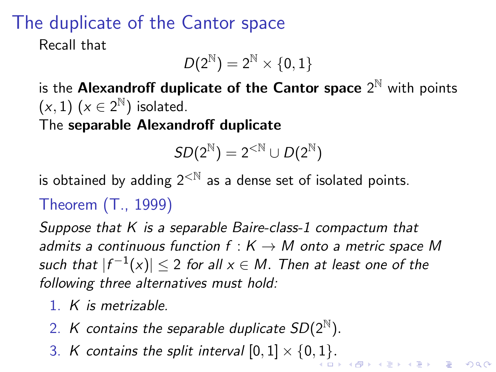# The duplicate of the Cantor space

Recall that

$$
\mathit{D}(2^{\mathbb{N}})=2^{\mathbb{N}}\times\{0,1\}
$$

is the Alexandroff duplicate of the Cantor space  $2^{\mathbb{N}}$  with points  $(x, 1)$   $(x \in 2^{\mathbb{N}})$  isolated.

The separable Alexandroff duplicate

$$
SD(2^{\mathbb{N}}) = 2^{<\mathbb{N}} \cup D(2^{\mathbb{N}})
$$

is obtained by adding  $2^{< N}$  as a dense set of isolated points. Theorem (T., 1999)

Suppose that K is a separable Baire-class-1 compactum that admits a continuous function  $f: K \to M$  onto a metric space M such that  $|f^{-1}(x)|\leq 2$  for all  $x\in M.$  Then at least one of the following three alternatives must hold:

- 1. K is metrizable.
- 2. K contains the separable duplicate  $SD(2^{\mathbb{N}})$ .
- 3[.](#page-17-0) K contains the split interval  $[0,1] \times \{0,1\}$  $[0,1] \times \{0,1\}$  $[0,1] \times \{0,1\}$ .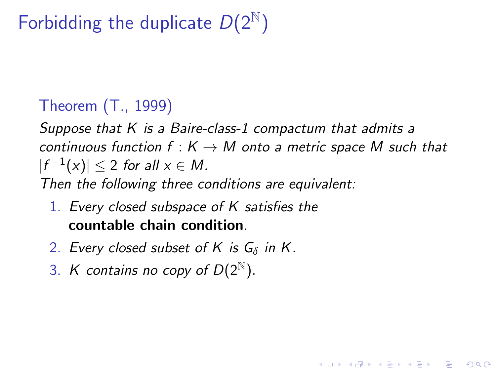# Forbidding the duplicate  $D(2^{\mathbb{N}})$

## Theorem (T., 1999)

Suppose that  $K$  is a Baire-class-1 compactum that admits a continuous function  $f : K \to M$  onto a metric space M such that  $|f^{-1}(x)| \leq 2$  for all  $x \in M$ .

**KORK ERKER ADE YOUR** 

Then the following three conditions are equivalent:

- 1. Every closed subspace of K satisfies the countable chain condition.
- 2. Every closed subset of K is  $G_{\delta}$  in K.
- <span id="page-17-0"></span>3. K contains no copy of  $D(2^{\mathbb{N}})$ .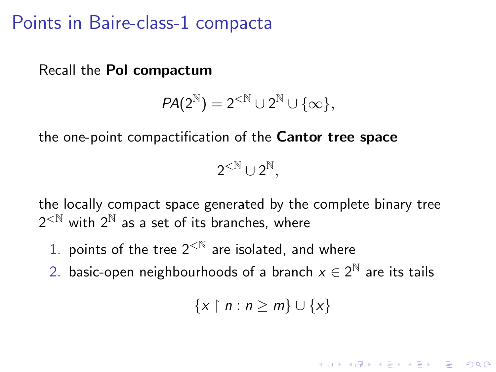## Points in Baire-class-1 compacta

Recall the Pol compactum

$$
PA(2^{\mathbb{N}})=2^{<\mathbb{N}}\cup 2^{\mathbb{N}}\cup \{\infty\},
$$

the one-point compactification of the Cantor tree space

 $2^{\text{}< \mathbb{N}} \cup 2^{\mathbb{N}},$ 

the locally compact space generated by the complete binary tree  $2^{<\mathbb{N}}$  with  $2^{\mathbb{N}}$  as a set of its branches, where

- 1. points of the tree  $2^{< N}$  are isolated, and where
- 2. basic-open neighbourhoods of a branch  $x\in 2^{\mathbb{N}}$  are its tails

$$
\{x\restriction n:n\geq m\}\cup\{x\}
$$

KID KA KERKER KID KO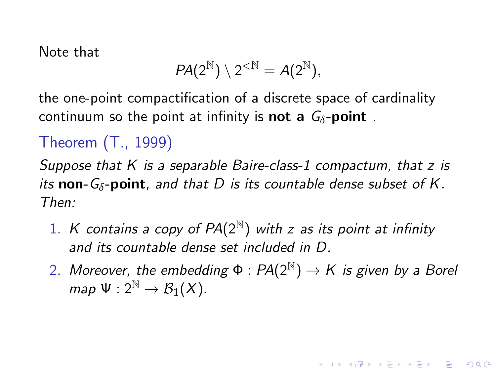Note that

$$
PA(2^{\mathbb{N}})\setminus 2^{<\mathbb{N}}=A(2^{\mathbb{N}}),
$$

the one-point compactification of a discrete space of cardinality continuum so the point at infinity is **not a**  $G_{\delta}$ -**point**.

## Theorem (T., 1999)

Suppose that  $K$  is a separable Baire-class-1 compactum, that  $z$  is its non- $G_{\delta}$ -point, and that D is its countable dense subset of K. Then:

- 1. K contains a copy of  $PA(2^{\mathbb{N}})$  with z as its point at infinity and its countable dense set included in D.
- 2. Moreover, the embedding  $\Phi$  :  $PA(2^{\mathbb{N}}) \rightarrow K$  is given by a Borel map  $\Psi: 2^{\mathbb{N}} \to \mathcal{B}_1(X)$ .

**KORKAR KERKER EL VOLO**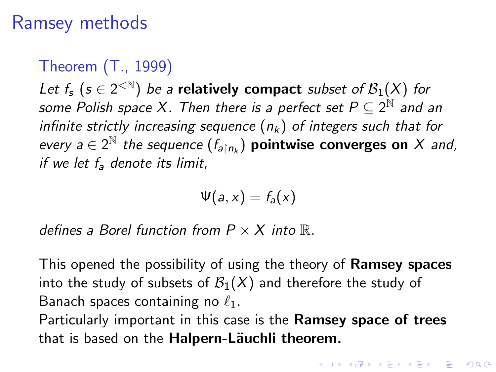## Ramsey methods

Theorem (T., 1999)

Let  $f_s$   $(s \in 2^{< N})$  be a relatively compact subset of  $\mathcal{B}_1(X)$  for some Polish space X. Then there is a perfect set  $P\subseteq 2^{\mathbb{N}}$  and an infinite strictly increasing sequence  $(n_k)$  of integers such that for every  $a \in 2^{\mathbb{N}}$  the sequence  $(f_{a|n_k})$  pointwise converges on X and, if we let  $f_a$  denote its limit.

$$
\Psi(a,x)=f_a(x)
$$

defines a Borel function from  $P \times X$  into  $\mathbb{R}$ .

This opened the possibility of using the theory of **Ramsey spaces** into the study of subsets of  $\mathcal{B}_1(X)$  and therefore the study of Banach spaces containing no  $\ell_1$ .

Particularly important in this case is the Ramsey space of trees that is based on the Halpern-Läuchli theorem.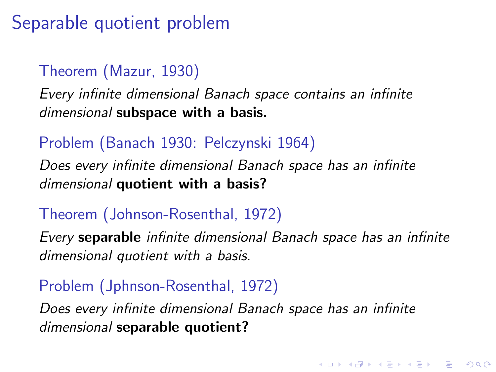Separable quotient problem

#### Theorem (Mazur, 1930)

Every infinite dimensional Banach space contains an infinite dimensional subspace with a basis.

#### Problem (Banach 1930: Pelczynski 1964)

Does every infinite dimensional Banach space has an infinite dimensional quotient with a basis?

#### Theorem (Johnson-Rosenthal, 1972)

Every separable infinite dimensional Banach space has an infinite dimensional quotient with a basis.

4 D > 4 P + 4 B + 4 B + B + 9 Q O

## Problem (Jphnson-Rosenthal, 1972)

Does every infinite dimensional Banach space has an infinite dimensional separable quotient?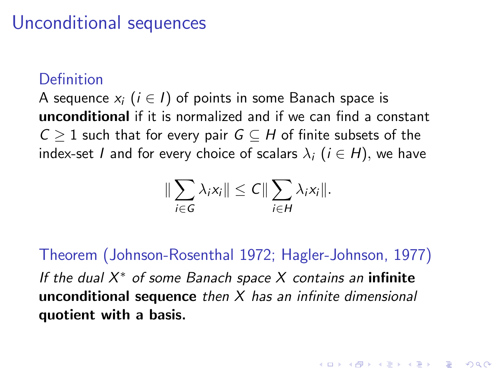# Unconditional sequences

#### **Definition**

A sequence  $x_i$  ( $i \in I$ ) of points in some Banach space is unconditional if it is normalized and if we can find a constant  $C > 1$  such that for every pair  $G \subset H$  of finite subsets of the index-set I and for every choice of scalars  $\lambda_i$  ( $i \in H$ ), we have

$$
\|\sum_{i\in G}\lambda_i x_i\|\leq C\|\sum_{i\in H}\lambda_i x_i\|.
$$

Theorem (Johnson-Rosenthal 1972; Hagler-Johnson, 1977) If the dual  $X^*$  of some Banach space  $X$  contains an infinite unconditional sequence then  $X$  has an infinite dimensional quotient with a basis.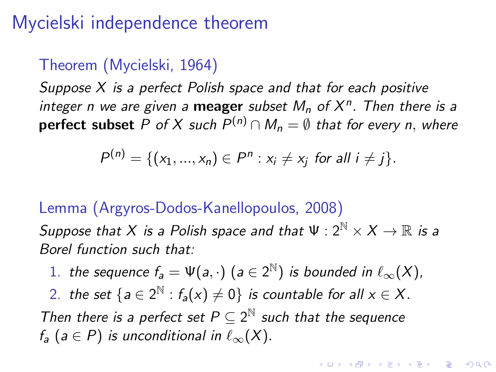# Mycielski independence theorem

#### Theorem (Mycielski, 1964)

Suppose X is a perfect Polish space and that for each positive integer n we are given a meager subset  $M_n$  of  $X^n$ . Then there is a **perfect subset** P of X such  $P^{(n)} \cap M_n = \emptyset$  that for every n, where

$$
P^{(n)} = \{(x_1, ..., x_n) \in P^n : x_i \neq x_j \text{ for all } i \neq j\}.
$$

#### Lemma (Argyros-Dodos-Kanellopoulos, 2008)

Suppose that X is a Polish space and that  $\Psi: 2^{\mathbb{N}} \times X \to \mathbb{R}$  is a Borel function such that:

1. the sequence  $f_a = \Psi(a, \cdot)$   $(a \in 2^{\mathbb{N}})$  is bounded in  $\ell_{\infty}(X)$ ,

2. the set  ${a \in 2^{\mathbb{N}} : f_a(x) \neq 0}$  is countable for all  $x \in X$ .

Then there is a perfect set  $P \subseteq 2^{\mathbb{N}}$  such that the sequence  $f_a$  (a  $\in$  P) is unconditional in  $\ell_{\infty}(X)$ .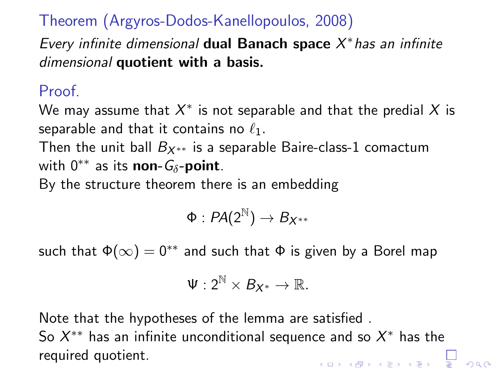### Theorem (Argyros-Dodos-Kanellopoulos, 2008)

Every infinite dimensional dual Banach space  $X^*$  has an infinite dimensional quotient with a basis.

#### Proof.

We may assume that  $X^{\ast}$  is not separable and that the predial  $X$  is separable and that it contains no  $\ell_1$ .

Then the unit ball  $B_{X^{**}}$  is a separable Baire-class-1 comactum with  $0^{**}$  as its non- $G_{\delta}$ -point.

By the structure theorem there is an embedding

$$
\Phi:PA(2^{\mathbb{N}})\to B_{X^{**}}
$$

such that  $\Phi(\infty) = 0^{**}$  and such that  $\Phi$  is given by a Borel map

$$
\Psi:2^{\mathbb{N}}\times \mathcal{B}_{X^*}\rightarrow \mathbb{R}.
$$

Note that the hypotheses of the lemma are satisfied . So  $X^{\ast\ast}$  has an infinite unconditional sequence and so  $X^{\ast}$  has the required quotient.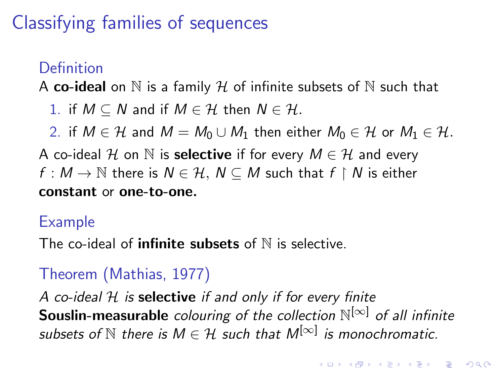# Classifying families of sequences

## Definition

A co-ideal on  $\mathbb N$  is a family  $\mathcal H$  of infinite subsets of  $\mathbb N$  such that

1. if  $M \subseteq N$  and if  $M \in \mathcal{H}$  then  $N \in \mathcal{H}$ .

2. if  $M \in \mathcal{H}$  and  $M = M_0 \cup M_1$  then either  $M_0 \in \mathcal{H}$  or  $M_1 \in \mathcal{H}$ .

A co-ideal H on N is **selective** if for every  $M \in \mathcal{H}$  and every  $f: M \to \mathbb{N}$  there is  $N \in \mathcal{H}, \ N \subseteq M$  such that  $f \restriction N$  is either constant or one-to-one.

#### Example

The co-ideal of **infinite subsets** of  $N$  is selective.

## Theorem (Mathias, 1977)

A co-ideal  $H$  is selective if and only if for every finite **Souslin-measurable** colouring of the collection  $\mathbb{N}^{[\infty]}$  of all infinite subsets of  $\mathbb N$  there is  $M\in\mathcal H$  such that  $M^{[\infty]}$  is monochromatic.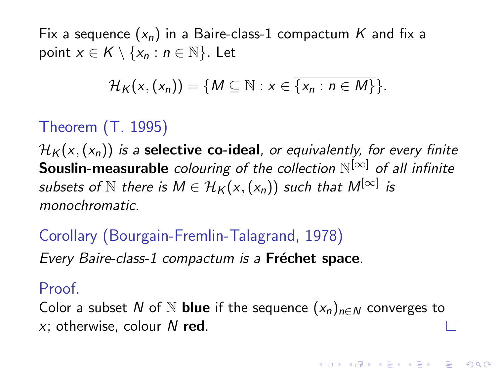Fix a sequence  $(x_n)$  in a Baire-class-1 compactum K and fix a point  $x \in K \setminus \{x_n : n \in \mathbb{N}\}\.$  Let

$$
\mathcal{H}_K(x,(x_n)) = \{M \subseteq \mathbb{N} : x \in \overline{\{x_n : n \in M\}}\}.
$$

## Theorem (T. 1995)

 $\mathcal{H}_{K}(x,(x_n))$  is a **selective co-ideal**, or equivalently, for every finite **Souslin-measurable** colouring of the collection  $\mathbb{N}^{[\infty]}$  of all infinite subsets of  $\mathbb N$  there is  $M\in\mathcal{H}_\mathcal{K}(\mathsf{x},(\mathsf{x}_\mathsf{n}))$  such that  $M^{[\infty]}$  is monochromatic.

Corollary (Bourgain-Fremlin-Talagrand, 1978)

Every Baire-class-1 compactum is a Fréchet space.

Proof.

<span id="page-26-0"></span>Color a subset N of N **blue** if the sequence  $(x_n)_{n\in\mathbb{N}}$  converges to  $x$ ; otherwise, colour N red.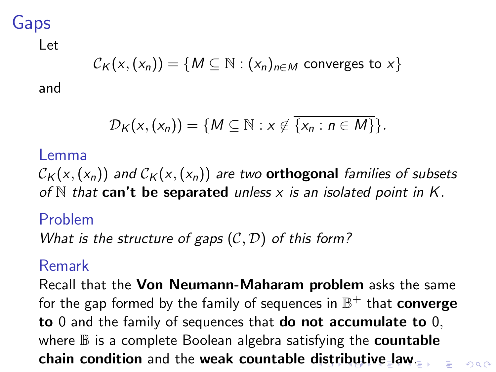## Gaps

#### Let

$$
\mathcal{C}_K(x,(x_n)) = \{M \subseteq \mathbb{N} : (x_n)_{n \in M} \text{ converges to } x\}
$$

and

$$
\mathcal{D}_K(x,(x_n)) = \{M \subseteq \mathbb{N} : x \notin \overline{\{x_n : n \in M\}}\}.
$$

#### Lemma

 $\mathcal{C}_{\mathcal{K}}(x,(x_n))$  and  $\mathcal{C}_{\mathcal{K}}(x,(x_n))$  are two **orthogonal** families of subsets of  $N$  that can't be separated unless x is an isolated point in K.

#### Problem

What is the structure of gaps  $(C, D)$  of this form?

#### Remark

<span id="page-27-0"></span>Recall that the Von Neumann-Maharam problem asks the same for the gap formed by the family of sequences in  $\mathbb{B}^+$  that  $\mathop{\mathrm{converge}}$ to 0 and the family of sequences that do not accumulate to 0, where  $\mathbb B$  is a complete Boolean algebra satisfying the **countable** chain condition and the weak countable [dis](#page-26-0)t[ri](#page-28-0)[b](#page-26-0)[ut](#page-27-0)[iv](#page-28-0)[e](#page-0-0) [la](#page-33-0)[w](#page-0-0)[.](#page-0-0)

 $\Omega$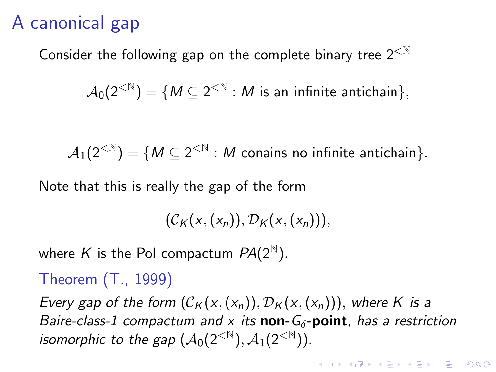# A canonical gap

Consider the following gap on the complete binary tree  $2^{< N}$ 

 $\mathcal{A}_0(2^{<\mathbb{N}})=\{M\subseteq 2^{<\mathbb{N}}:M\text{ is an infinite antichain}\},$ 

 $\mathcal{A}_1(2^{<\mathbb{N}})=\{M\subseteq 2^{<\mathbb{N}}:M\text{ can}\text{is no infinite antichain}\}.$ 

Note that this is really the gap of the form

 $(C_K(x, (x_n)), \mathcal{D}_K(x, (x_n))),$ 

where K is the Pol compactum  $PA(2^{\mathbb{N}})$ .

Theorem (T., 1999)

<span id="page-28-0"></span>Every gap of the form  $(C_K(x,(x_n)), \mathcal{D}_K(x,(x_n)))$ , where K is a Baire-class-1 compactum and x its **non-G<sub>** $\delta$ **</sub>-point**, has a restriction isomorphic to the gap  $(\mathcal{A}_0(2^{\lt N}), \mathcal{A}_1(2^{\lt N})).$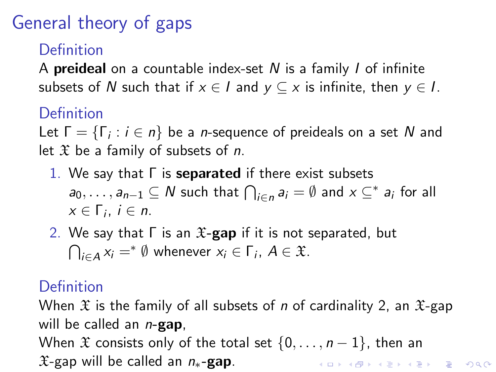# General theory of gaps

### Definition

A **preideal** on a countable index-set  $N$  is a family  $I$  of infinite subsets of N such that if  $x \in I$  and  $y \subseteq x$  is infinite, then  $y \in I$ .

## Definition

Let  $\Gamma = \{\Gamma_i : i \in n\}$  be a *n*-sequence of preideals on a set  $N$  and let  $\mathfrak X$  be a family of subsets of n.

- 1. We say that  $\Gamma$  is **separated** if there exist subsets  $a_0,\ldots,a_{n-1}\subseteq N$  such that  $\bigcap_{i\in n}a_i=\emptyset$  and  $x\subseteq^*a_i$  for all  $x \in \Gamma_i$ ,  $i \in n$ .
- 2. We say that  $\Gamma$  is an  $\mathfrak{X}\text{-}\mathbf{gap}$  if it is not separated, but  $\bigcap_{i\in A} x_i =^* \emptyset$  whenever  $x_i \in \Gamma_i$ ,  $A \in \mathfrak{X}$ .

## Definition

When  $\mathfrak X$  is the family of all subsets of *n* of cardinality 2, an  $\mathfrak X$ -gap will be called an  $n$ -gap,

When  $\mathfrak X$  consists only of the total set  $\{0,\ldots,n-1\}$ , then an  $\mathfrak{X}$ -gap will be called an  $n_*$ -gap. **KORK ERKER ADE YOUR**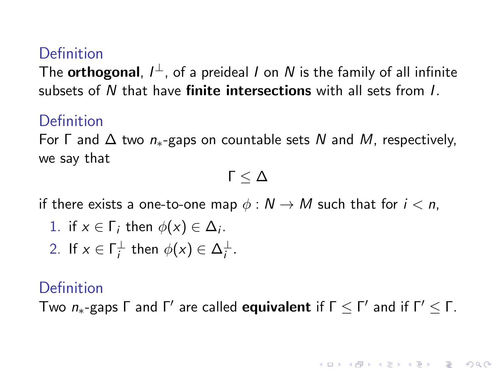#### Definition

The  $\bm{\mathsf{orthogonal}},\ l^\perp$ , of a preideal  $l$  on  $N$  is the family of all infinite subsets of N that have **finite intersections** with all sets from L

#### Definition

For  $\Gamma$  and  $\Delta$  two  $n_{*}$ -gaps on countable sets N and M, respectively, we say that

$$
\Gamma\leq \Delta
$$

if there exists a one-to-one map  $\phi : N \to M$  such that for  $i < n$ ,

1. if 
$$
x \in \Gamma_i
$$
 then  $\phi(x) \in \Delta_i$ .

2. If  $x \in \Gamma_i^{\perp}$  then  $\phi(x) \in \Delta_i^{\perp}$ .

#### Definition

<span id="page-30-0"></span>Two  $n_{*}$ -gaps  $\Gamma$  and  $\Gamma'$  are called **equivalent** if  $\Gamma \leq \Gamma'$  and if  $\Gamma' \leq \Gamma$ .

**KORKAR KERKER EL VOLO**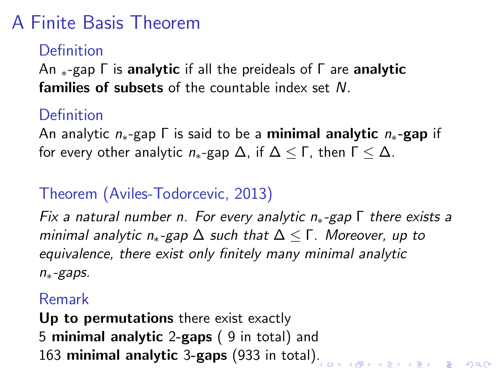# A Finite Basis Theorem

#### **Definition**

An  $*$ -gap  $\Gamma$  is analytic if all the preideals of  $\Gamma$  are analytic families of subsets of the countable index set N.

### Definition

An analytic  $n_{*}$ -gap  $\Gamma$  is said to be a **minimal analytic**  $n_{*}$ -gap if for every other analytic  $n_{*}$ -gap  $\Delta$ , if  $\Delta \leq \Gamma$ , then  $\Gamma \leq \Delta$ .

## Theorem (Aviles-Todorcevic, 2013)

Fix a natural number n. For every analytic  $n_{*}$ -gap  $\Gamma$  there exists a minimal analytic  $n_{*}$ -gap  $\Delta$  such that  $\Delta \leq \Gamma$ . Moreover, up to equivalence, there exist only finitely many minimal analytic n∗-gaps.

#### Remark

Up to permutations there exist exactly 5 minimal analytic 2-gaps ( 9 in total) and 163 minimal analytic 3-gaps (933 in total[\).](#page-30-0)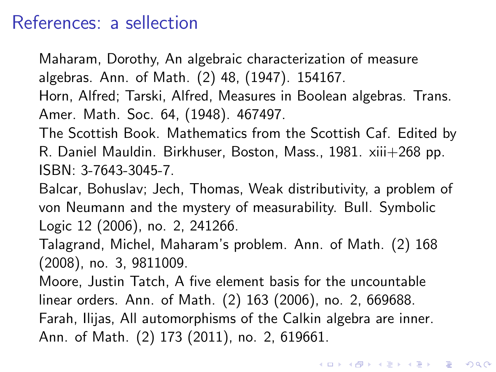## References: a sellection

Maharam, Dorothy, An algebraic characterization of measure algebras. Ann. of Math. (2) 48, (1947). 154167.

Horn, Alfred; Tarski, Alfred, Measures in Boolean algebras. Trans. Amer. Math. Soc. 64, (1948). 467497.

The Scottish Book. Mathematics from the Scottish Caf. Edited by R. Daniel Mauldin. Birkhuser, Boston, Mass., 1981. xiii+268 pp. ISBN: 3-7643-3045-7.

Balcar, Bohuslav; Jech, Thomas, Weak distributivity, a problem of von Neumann and the mystery of measurability. Bull. Symbolic Logic 12 (2006), no. 2, 241266.

Talagrand, Michel, Maharam's problem. Ann. of Math. (2) 168 (2008), no. 3, 9811009.

Moore, Justin Tatch, A five element basis for the uncountable linear orders. Ann. of Math. (2) 163 (2006), no. 2, 669688. Farah, Ilijas, All automorphisms of the Calkin algebra are inner. Ann. of Math. (2) 173 (2011), no. 2, 619661.